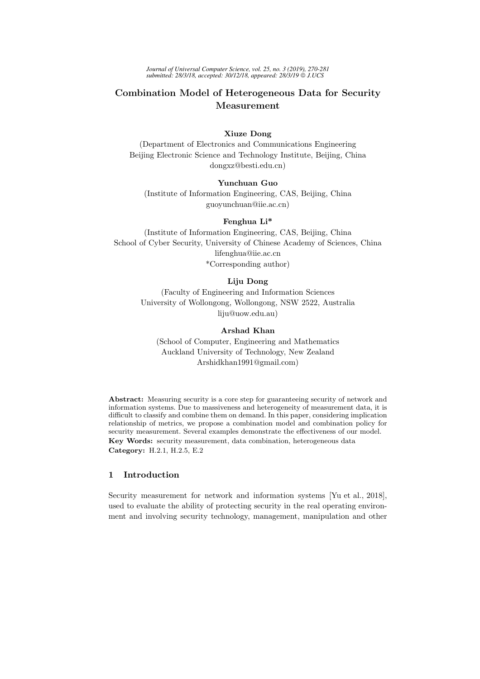*Journal of Universal Computer Science, vol. 25, no. 3 (2019), 270-281 submitted: 28/3/18, accepted: 30/12/18, appeared: 28/3/19 J.UCS*

# Combination Model of Heterogeneous Data for Security Measurement

## Xiuze Dong

(Department of Electronics and Communications Engineering Beijing Electronic Science and Technology Institute, Beijing, China dongxz@besti.edu.cn)

## Yunchuan Guo

(Institute of Information Engineering, CAS, Beijing, China guoyunchuan@iie.ac.cn)

#### Fenghua Li\*

(Institute of Information Engineering, CAS, Beijing, China School of Cyber Security, University of Chinese Academy of Sciences, China lifenghua@iie.ac.cn \*Corresponding author)

# Liju Dong

(Faculty of Engineering and Information Sciences University of Wollongong, Wollongong, NSW 2522, Australia liju@uow.edu.au)

## Arshad Khan

(School of Computer, Engineering and Mathematics Auckland University of Technology, New Zealand Arshidkhan1991@gmail.com)

Abstract: Measuring security is a core step for guaranteeing security of network and information systems. Due to massiveness and heterogeneity of measurement data, it is difficult to classify and combine them on demand. In this paper, considering implication relationship of metrics, we propose a combination model and combination policy for security measurement. Several examples demonstrate the effectiveness of our model. Key Words: security measurement, data combination, heterogeneous data Category: H.2.1, H.2.5, E.2

## 1 Introduction

Security measurement for network and information systems [Yu et al., 2018], used to evaluate the ability of protecting security in the real operating environment and involving security technology, management, manipulation and other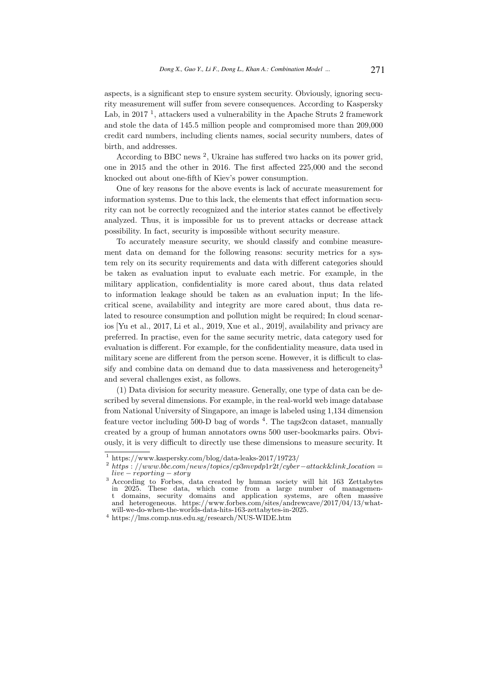aspects, is a significant step to ensure system security. Obviously, ignoring security measurement will suffer from severe consequences. According to Kaspersky Lab, in 2017<sup>1</sup>, attackers used a vulnerability in the Apache Struts 2 framework and stole the data of 145.5 million people and compromised more than 209,000 credit card numbers, including clients names, social security numbers, dates of birth, and addresses.

According to BBC news<sup>2</sup>, Ukraine has suffered two hacks on its power grid, one in 2015 and the other in 2016. The first affected 225,000 and the second knocked out about one-fifth of Kiev's power consumption.

One of key reasons for the above events is lack of accurate measurement for information systems. Due to this lack, the elements that effect information security can not be correctly recognized and the interior states cannot be effectively analyzed. Thus, it is impossible for us to prevent attacks or decrease attack possibility. In fact, security is impossible without security measure.

To accurately measure security, we should classify and combine measurement data on demand for the following reasons: security metrics for a system rely on its security requirements and data with different categories should be taken as evaluation input to evaluate each metric. For example, in the military application, confidentiality is more cared about, thus data related to information leakage should be taken as an evaluation input; In the lifecritical scene, availability and integrity are more cared about, thus data related to resource consumption and pollution might be required; In cloud scenarios [Yu et al., 2017, Li et al., 2019, Xue et al., 2019], availability and privacy are preferred. In practise, even for the same security metric, data category used for evaluation is different. For example, for the confidentiality measure, data used in military scene are different from the person scene. However, it is difficult to classify and combine data on demand due to data massiveness and heterogeneity<sup>3</sup> and several challenges exist, as follows.

(1) Data division for security measure. Generally, one type of data can be described by several dimensions. For example, in the real-world web image database from National University of Singapore, an image is labeled using 1,134 dimension feature vector including 500-D bag of words <sup>4</sup>. The tags2con dataset, manually created by a group of human annotators owns 500 user-bookmarks pairs. Obviously, it is very difficult to directly use these dimensions to measure security. It

 $\frac{1}{1}$  https://www.kaspersky.com/blog/data-leaks-2017/19723/

<sup>2</sup> https : //www.bbc.com/news/topics/cp3mvpdp1r2t/cyber−attack&link location = live − reporting − story

<sup>&</sup>lt;sup>3</sup> According to Forbes, data created by human society will hit 163 Zettabytes in 2025. These data, which come from a large number of management domains, security domains and application systems, are often massive and heterogeneous. https://www.forbes.com/sites/andrewcave/2017/04/13/whatwill-we-do-when-the-worlds-data-hits-163-zettabytes-in-2025.

 $^4$ https://lms.comp.nus.edu.sg/research/NUS-WIDE.htm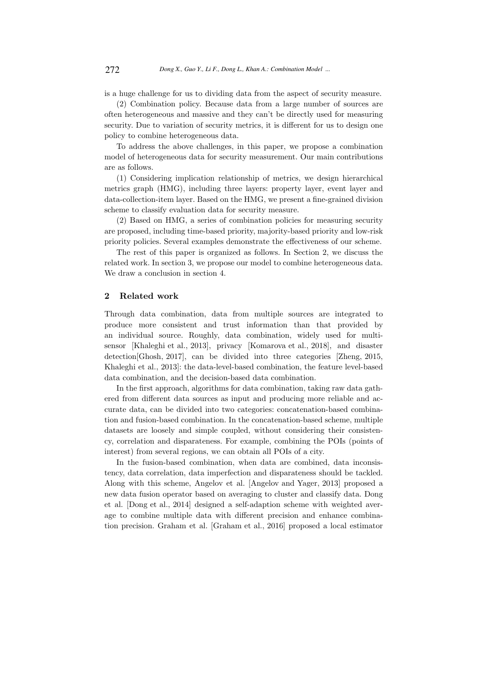is a huge challenge for us to dividing data from the aspect of security measure.

(2) Combination policy. Because data from a large number of sources are often heterogeneous and massive and they can't be directly used for measuring security. Due to variation of security metrics, it is different for us to design one policy to combine heterogeneous data.

To address the above challenges, in this paper, we propose a combination model of heterogeneous data for security measurement. Our main contributions are as follows.

(1) Considering implication relationship of metrics, we design hierarchical metrics graph (HMG), including three layers: property layer, event layer and data-collection-item layer. Based on the HMG, we present a fine-grained division scheme to classify evaluation data for security measure.

(2) Based on HMG, a series of combination policies for measuring security are proposed, including time-based priority, majority-based priority and low-risk priority policies. Several examples demonstrate the effectiveness of our scheme.

The rest of this paper is organized as follows. In Section 2, we discuss the related work. In section 3, we propose our model to combine heterogeneous data. We draw a conclusion in section 4.

## 2 Related work

Through data combination, data from multiple sources are integrated to produce more consistent and trust information than that provided by an individual source. Roughly, data combination, widely used for multisensor [Khaleghi et al., 2013], privacy [Komarova et al., 2018], and disaster detection[Ghosh, 2017], can be divided into three categories [Zheng, 2015, Khaleghi et al., 2013]: the data-level-based combination, the feature level-based data combination, and the decision-based data combination.

In the first approach, algorithms for data combination, taking raw data gathered from different data sources as input and producing more reliable and accurate data, can be divided into two categories: concatenation-based combination and fusion-based combination. In the concatenation-based scheme, multiple datasets are loosely and simple coupled, without considering their consistency, correlation and disparateness. For example, combining the POIs (points of interest) from several regions, we can obtain all POIs of a city.

In the fusion-based combination, when data are combined, data inconsistency, data correlation, data imperfection and disparateness should be tackled. Along with this scheme, Angelov et al. [Angelov and Yager, 2013] proposed a new data fusion operator based on averaging to cluster and classify data. Dong et al. [Dong et al., 2014] designed a self-adaption scheme with weighted average to combine multiple data with different precision and enhance combination precision. Graham et al. [Graham et al., 2016] proposed a local estimator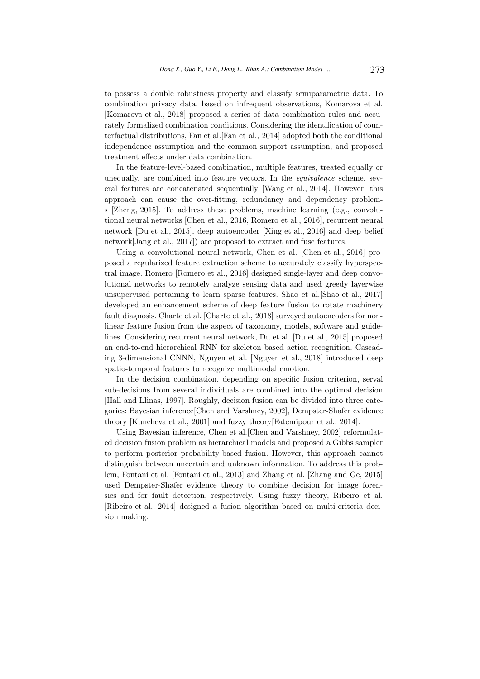to possess a double robustness property and classify semiparametric data. To combination privacy data, based on infrequent observations, Komarova et al. [Komarova et al., 2018] proposed a series of data combination rules and accurately formalized combination conditions. Considering the identification of counterfactual distributions, Fan et al.[Fan et al., 2014] adopted both the conditional independence assumption and the common support assumption, and proposed treatment effects under data combination.

In the feature-level-based combination, multiple features, treated equally or unequally, are combined into feature vectors. In the equivalence scheme, several features are concatenated sequentially [Wang et al., 2014]. However, this approach can cause the over-fitting, redundancy and dependency problems [Zheng, 2015]. To address these problems, machine learning (e.g., convolutional neural networks [Chen et al., 2016, Romero et al., 2016], recurrent neural network [Du et al., 2015], deep autoencoder [Xing et al., 2016] and deep belief network[Jang et al., 2017]) are proposed to extract and fuse features.

Using a convolutional neural network, Chen et al. [Chen et al., 2016] proposed a regularized feature extraction scheme to accurately classify hyperspectral image. Romero [Romero et al., 2016] designed single-layer and deep convolutional networks to remotely analyze sensing data and used greedy layerwise unsupervised pertaining to learn sparse features. Shao et al.[Shao et al., 2017] developed an enhancement scheme of deep feature fusion to rotate machinery fault diagnosis. Charte et al. [Charte et al., 2018] surveyed autoencoders for nonlinear feature fusion from the aspect of taxonomy, models, software and guidelines. Considering recurrent neural network, Du et al. [Du et al., 2015] proposed an end-to-end hierarchical RNN for skeleton based action recognition. Cascading 3-dimensional CNNN, Nguyen et al. [Nguyen et al., 2018] introduced deep spatio-temporal features to recognize multimodal emotion.

In the decision combination, depending on specific fusion criterion, serval sub-decisions from several individuals are combined into the optimal decision [Hall and Llinas, 1997]. Roughly, decision fusion can be divided into three categories: Bayesian inference[Chen and Varshney, 2002], Dempster-Shafer evidence theory [Kuncheva et al., 2001] and fuzzy theory[Fatemipour et al., 2014].

Using Bayesian inference, Chen et al.[Chen and Varshney, 2002] reformulated decision fusion problem as hierarchical models and proposed a Gibbs sampler to perform posterior probability-based fusion. However, this approach cannot distinguish between uncertain and unknown information. To address this problem, Fontani et al. [Fontani et al., 2013] and Zhang et al. [Zhang and Ge, 2015] used Dempster-Shafer evidence theory to combine decision for image forensics and for fault detection, respectively. Using fuzzy theory, Ribeiro et al. [Ribeiro et al., 2014] designed a fusion algorithm based on multi-criteria decision making.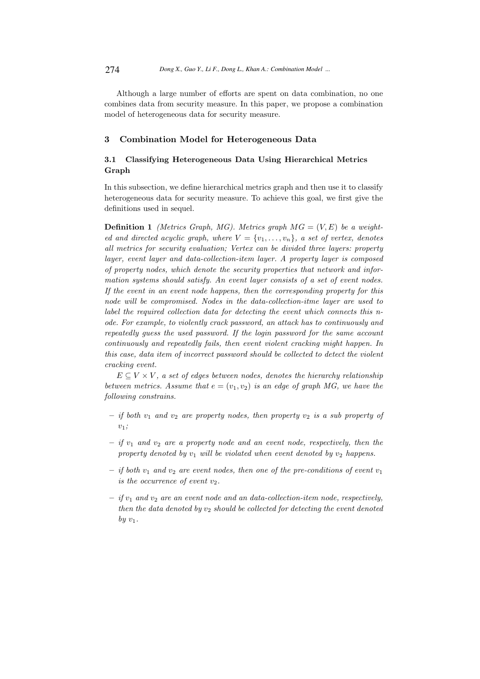Although a large number of efforts are spent on data combination, no one combines data from security measure. In this paper, we propose a combination model of heterogeneous data for security measure.

## 3 Combination Model for Heterogeneous Data

# 3.1 Classifying Heterogeneous Data Using Hierarchical Metrics Graph

In this subsection, we define hierarchical metrics graph and then use it to classify heterogeneous data for security measure. To achieve this goal, we first give the definitions used in sequel.

**Definition 1** (Metrics Graph, MG). Metrics graph  $MG = (V, E)$  be a weighted and directed acyclic graph, where  $V = \{v_1, \ldots, v_n\}$ , a set of vertex, denotes all metrics for security evaluation; Vertex can be divided three layers: property layer, event layer and data-collection-item layer. A property layer is composed of property nodes, which denote the security properties that network and information systems should satisfy. An event layer consists of a set of event nodes. If the event in an event node happens, then the corresponding property for this node will be compromised. Nodes in the data-collection-itme layer are used to label the required collection data for detecting the event which connects this node. For example, to violently crack password, an attack has to continuously and repeatedly guess the used password. If the login password for the same account continuously and repeatedly fails, then event violent cracking might happen. In this case, data item of incorrect password should be collected to detect the violent cracking event.

 $E \subseteq V \times V$ , a set of edges between nodes, denotes the hierarchy relationship between metrics. Assume that  $e = (v_1, v_2)$  is an edge of graph MG, we have the following constrains.

- if both  $v_1$  and  $v_2$  are property nodes, then property  $v_2$  is a sub property of  $v_1$ ;
- $-$  if  $v_1$  and  $v_2$  are a property node and an event node, respectively, then the property denoted by  $v_1$  will be violated when event denoted by  $v_2$  happens.
- if both  $v_1$  and  $v_2$  are event nodes, then one of the pre-conditions of event  $v_1$ is the occurrence of event  $v_2$ .
- $-$  if  $v_1$  and  $v_2$  are an event node and an data-collection-item node, respectively, then the data denoted by  $v_2$  should be collected for detecting the event denoted by  $v_1$ .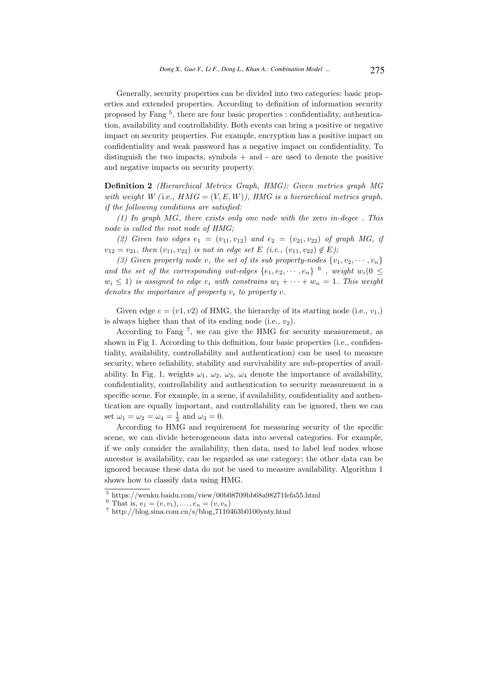Generally, security properties can be divided into two categories: basic properties and extended properties. According to definition of information security proposed by Fang <sup>5</sup> , there are four basic properties : confidentiality, authentication, availability and controllability. Both events can bring a positive or negative impact on security properties. For example, encryption has a positive impact on confidentiality and weak password has a negative impact on confidentiality. To distinguish the two impacts, symbols  $+$  and  $-$  are used to denote the positive and negative impacts on security property.

Definition 2 (Hierarchical Metrics Graph, HMG): Given metrics graph MG with weight W (i.e.,  $HMG = (V, E, W)$ ), HMG is a hierarchical metrics graph, if the following conditions are satisfied:

(1) In graph MG, there exists only one node with the zero in-degee . This node is called the root node of HMG;

(2) Given two edges  $e_1 = (v_{11}, v_{12})$  and  $e_2 = (v_{21}, v_{22})$  of graph MG, if  $v_{12} = v_{21}$ , then  $(v_{11}, v_{22})$  is not in edge set E (i.e.,  $(v_{11}, v_{22}) \notin E$ );

(3) Given property node v, the set of its sub property-nodes  $\{v_1, v_2, \cdots, v_n\}$ and the set of the corresponding out-edges  $\{e_1, e_2, \cdots, e_n\}$  <sup>6</sup>, weight  $w_i(0 \leq$  $w_i \leq 1$ ) is assigned to edge  $e_i$  with constrains  $w_1 + \cdots + w_n = 1$ . This weight denotes the importance of property  $v_i$  to property v.

Given edge  $e = (v1, v2)$  of HMG, the hierarchy of its starting node (i.e.,  $v_1$ ) is always higher than that of its ending node (i.e.,  $v_2$ ).

According to Fang <sup>7</sup> , we can give the HMG for security measurement, as shown in Fig 1. According to this definition, four basic properties (i.e., confidentiality, availability, controllability and authentication) can be used to measure security, where reliability, stability and survivability are sub-properties of availability. In Fig. 1, weights  $\omega_1$ ,  $\omega_2$ ,  $\omega_3$ ,  $\omega_4$  denote the importance of availability, confidentiality, controllability and authentication to security measurement in a specific scene. For example, in a scene, if availability, confidentiality and authentication are equally important, and controllability can be ignored, then we can set  $\omega_1 = \omega_2 = \omega_4 = \frac{1}{3}$  and  $\omega_3 = 0$ .

According to HMG and requirement for measuring security of the specific scene, we can divide heterogeneous data into several categories. For example, if we only consider the availability, then data, used to label leaf nodes whose ancestor is availability, can be regarded as one category; the other data can be ignored because these data do not be used to measure availability. Algorithm 1 shows how to classify data using HMG.

 $^5$ https://wenku.baidu.com/view/00b08709bb68a98271fefa55.html

<sup>&</sup>lt;sup>6</sup> That is,  $e_1 = (v, v_1), \ldots, e_n = (v, v_n)$ 

 $^7$  http://blog.sina.com.cn/s/blog\_7110463b0100ynty.html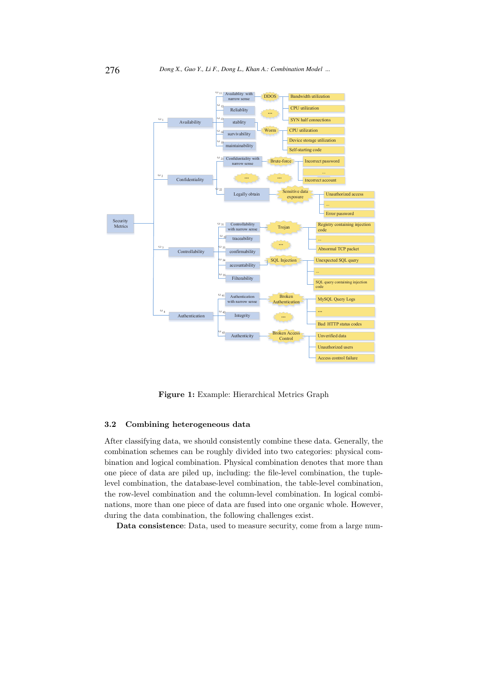

Figure 1: Example: Hierarchical Metrics Graph

#### 3.2 Combining heterogeneous data

After classifying data, we should consistently combine these data. Generally, the combination schemes can be roughly divided into two categories: physical combination and logical combination. Physical combination denotes that more than one piece of data are piled up, including: the file-level combination, the tuplelevel combination, the database-level combination, the table-level combination, the row-level combination and the column-level combination. In logical combinations, more than one piece of data are fused into one organic whole. However, during the data combination, the following challenges exist.

Data consistence: Data, used to measure security, come from a large num-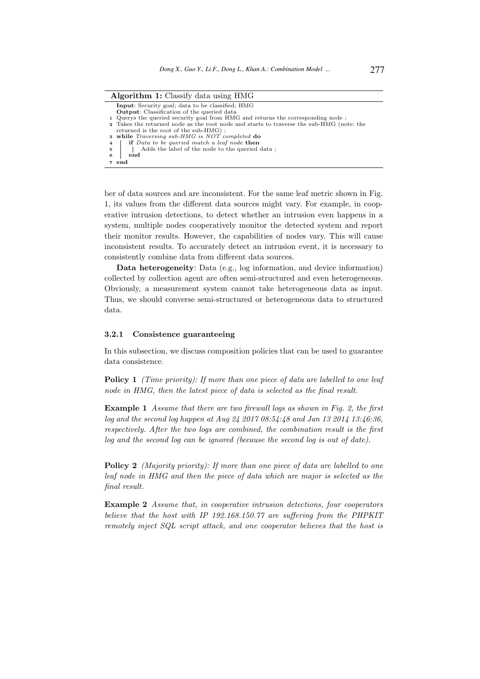| <b>Algorithm 1:</b> Classify data using HMG |                                                                                          |
|---------------------------------------------|------------------------------------------------------------------------------------------|
|                                             | <b>Input:</b> Security goal; data to be classified; HMG                                  |
|                                             | <b>Output:</b> Classification of the queried data                                        |
|                                             | 1. Querys the queried security goal from HMG and returns the corresponding node;         |
|                                             | 2 Takes the returned node as the root node and starts to traverse the sub-HMG (note: the |
|                                             | returned is the root of the sub-HMG);                                                    |
|                                             | 3 while <i>Traversing sub-HMG</i> is NOT completed do                                    |
| $\overline{4}$                              | if Data to be queried match a leaf node then                                             |
| $5 -$                                       | Adds the label of the node to the queried data;                                          |
| -6                                          | end                                                                                      |
|                                             | 7 end                                                                                    |

ber of data sources and are inconsistent. For the same leaf metric shown in Fig. 1, its values from the different data sources might vary. For example, in cooperative intrusion detections, to detect whether an intrusion even happens in a system, multiple nodes cooperatively monitor the detected system and report their monitor results. However, the capabilities of nodes vary. This will cause inconsistent results. To accurately detect an intrusion event, it is necessary to consistently combine data from different data sources.

Data heterogeneity: Data (e.g., log information, and device information) collected by collection agent are often semi-structured and even heterogeneous. Obviously, a measurement system cannot take heterogeneous data as input. Thus, we should converse semi-structured or heterogeneous data to structured data.

#### 3.2.1 Consistence guaranteeing

In this subsection, we discuss composition policies that can be used to guarantee data consistence.

Policy 1 *(Time priority): If more than one piece of data are labelled to one leaf* node in HMG, then the latest piece of data is selected as the final result.

Example 1 Assume that there are two firewall logs as shown in Fig. 2, the first log and the second log happen at Aug 24 2017 08:54:48 and Jan 13 2014 13:46:36, respectively. After the two logs are combined, the combination result is the first log and the second log can be ignored (because the second log is out of date).

**Policy 2** (Majority priority): If more than one piece of data are labelled to one leaf node in HMG and then the piece of data which are major is selected as the final result.

Example 2 Assume that, in cooperative intrusion detections, four cooperators believe that the host with IP 192.168.150.77 are suffering from the PHPKIT remotely inject SQL script attack, and one cooperator believes that the host is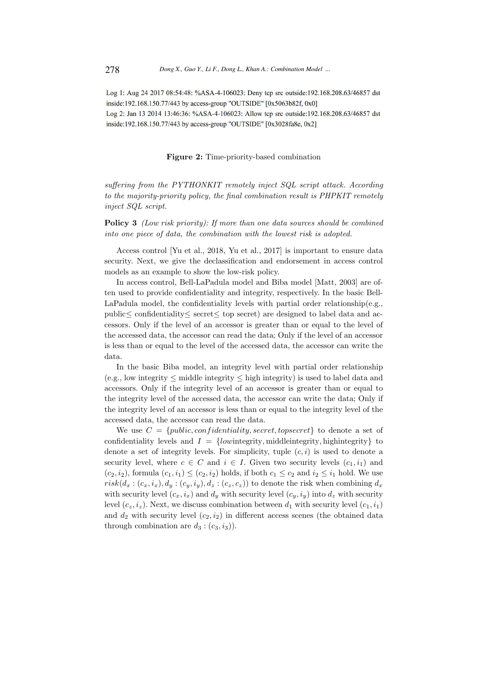Log 1: Aug 24 2017 08:54:48: %ASA-4-106023: Deny tcp src outside:192.168.208.63/46857 dst inside:192.168.150.77/443 by access-group "OUTSIDE" [0x5063b82f, 0x0] Log 2: Jan 13 2014 13:46:36: %ASA-4-106023: Allow tep src outside:192.168.208.63/46857 dst inside:192.168.150.77/443 by access-group "OUTSIDE" [0x3028fa8e, 0x2]

Figure 2: Time-priority-based combination

suffering from the PYTHONKIT remotely inject SQL script attack. According to the majority-priority policy, the final combination result is PHPKIT remotely inject SQL script.

Policy 3 (Low risk priority): If more than one data sources should be combined into one piece of data, the combination with the lowest risk is adopted.

Access control [Yu et al., 2018, Yu et al., 2017] is important to ensure data security. Next, we give the declassification and endorsement in access control models as an example to show the low-risk policy.

In access control, Bell-LaPadula model and Biba model [Matt, 2003] are often used to provide confidentiality and integrity, respectively. In the basic Bell-LaPadula model, the confidentiality levels with partial order relationship(e.g., public≤ confidentiality≤ secret≤ top secret) are designed to label data and accessors. Only if the level of an accessor is greater than or equal to the level of the accessed data, the accessor can read the data; Only if the level of an accessor is less than or equal to the level of the accessed data, the accessor can write the data.

In the basic Biba model, an integrity level with partial order relationship  $(e.g., low integrity < midde integrity < high integrity)$  is used to label data and accessors. Only if the integrity level of an accessor is greater than or equal to the integrity level of the accessed data, the accessor can write the data; Only if the integrity level of an accessor is less than or equal to the integrity level of the accessed data, the accessor can read the data.

We use  $C = \{public, confidentiality, secret,topsecret\}$  to denote a set of confidentiality levels and  $I = \{low$  integrity, middleintegrity, highintegrity to denote a set of integrity levels. For simplicity, tuple  $(c, i)$  is used to denote a security level, where  $c \in C$  and  $i \in I$ . Given two security levels  $(c_1, i_1)$  and  $(c_2, i_2)$ , formula  $(c_1, i_1) \leq (c_2, i_2)$  holds, if both  $c_1 \leq c_2$  and  $i_2 \leq i_1$  hold. We use  $risk(d_x : (c_x, i_x), d_y : (c_y, i_y), d_z : (c_z, c_z))$  to denote the risk when combining  $d_x$ with security level  $(c_x, i_x)$  and  $d_y$  with security level  $(c_y, i_y)$  into  $d_z$  with security level  $(c_z, i_z)$ . Next, we discuss combination between  $d_1$  with security level  $(c_1, i_1)$ and  $d_2$  with security level  $(c_2, i_2)$  in different access scenes (the obtained data through combination are  $d_3$ :  $(c_3, i_3)$ .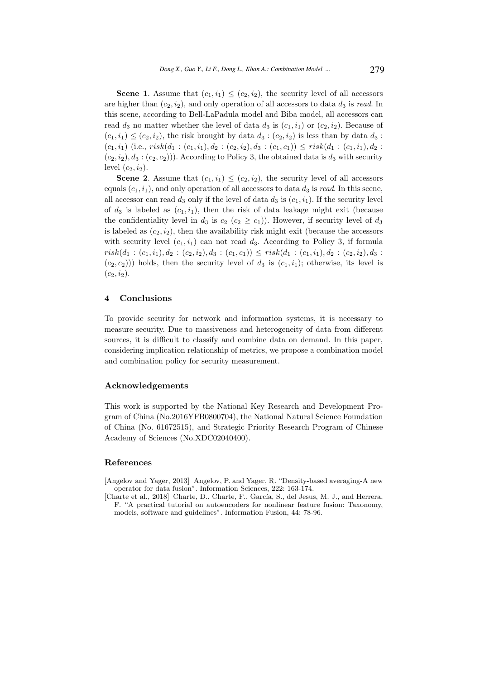**Scene 1.** Assume that  $(c_1, i_1) \leq (c_2, i_2)$ , the security level of all accessors are higher than  $(c_2, i_2)$ , and only operation of all accessors to data  $d_3$  is read. In this scene, according to Bell-LaPadula model and Biba model, all accessors can read  $d_3$  no matter whether the level of data  $d_3$  is  $(c_1, i_1)$  or  $(c_2, i_2)$ . Because of  $(c_1, i_1) \leq (c_2, i_2)$ , the risk brought by data  $d_3 : (c_2, i_2)$  is less than by data  $d_3$ :  $(c_1, i_1)$  (i.e.,  $risk(d_1 : (c_1, i_1), d_2 : (c_2, i_2), d_3 : (c_1, c_1)) \leq risk(d_1 : (c_1, i_1), d_2 :$  $(c_2, i_2), d_3 : (c_2, c_2))$ . According to Policy 3, the obtained data is  $d_3$  with security level  $(c_2, i_2)$ .

**Scene 2.** Assume that  $(c_1, i_1) \leq (c_2, i_2)$ , the security level of all accessors equals  $(c_1, i_1)$ , and only operation of all accessors to data  $d_3$  is read. In this scene, all accessor can read  $d_3$  only if the level of data  $d_3$  is  $(c_1, i_1)$ . If the security level of  $d_3$  is labeled as  $(c_1, i_1)$ , then the risk of data leakage might exit (because the confidentiality level in  $d_3$  is  $c_2$   $(c_2 \geq c_1)$ ). However, if security level of  $d_3$ is labeled as  $(c_2, i_2)$ , then the availability risk might exit (because the accessors with security level  $(c_1, i_1)$  can not read  $d_3$ . According to Policy 3, if formula  $risk(d_1 : (c_1, i_1), d_2 : (c_2, i_2), d_3 : (c_1, c_1)) \leq risk(d_1 : (c_1, i_1), d_2 : (c_2, i_2), d_3 :$  $(c_2, c_2)$ )) holds, then the security level of  $d_3$  is  $(c_1, i_1)$ ; otherwise, its level is  $(c_2, i_2).$ 

#### 4 Conclusions

To provide security for network and information systems, it is necessary to measure security. Due to massiveness and heterogeneity of data from different sources, it is difficult to classify and combine data on demand. In this paper, considering implication relationship of metrics, we propose a combination model and combination policy for security measurement.

#### Acknowledgements

This work is supported by the National Key Research and Development Program of China (No.2016YFB0800704), the National Natural Science Foundation of China (No. 61672515), and Strategic Priority Research Program of Chinese Academy of Sciences (No.XDC02040400).

#### References

[Angelov and Yager, 2013] Angelov, P. and Yager, R. "Density-based averaging-A new operator for data fusion". Information Sciences, 222: 163-174.

[Charte et al., 2018] Charte, D., Charte, F., García, S., del Jesus, M. J., and Herrera, F. "A practical tutorial on autoencoders for nonlinear feature fusion: Taxonomy, models, software and guidelines". Information Fusion, 44: 78-96.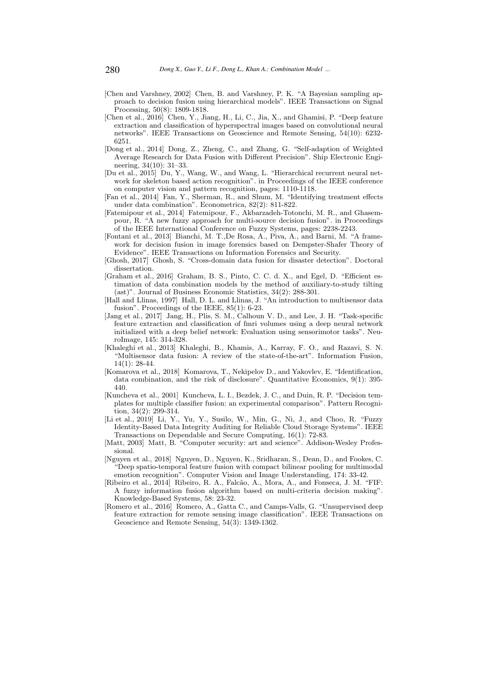- [Chen and Varshney, 2002] Chen, B. and Varshney, P. K. "A Bayesian sampling approach to decision fusion using hierarchical models". IEEE Transactions on Signal Processing, 50(8): 1809-1818.
- [Chen et al., 2016] Chen, Y., Jiang, H., Li, C., Jia, X., and Ghamisi, P. "Deep feature extraction and classification of hyperspectral images based on convolutional neural networks". IEEE Transactions on Geoscience and Remote Sensing, 54(10): 6232- 6251.
- [Dong et al., 2014] Dong, Z., Zheng, C., and Zhang, G. "Self-adaption of Weighted Average Research for Data Fusion with Different Precision". Ship Electronic Engineering, 34(10): 31–33.
- [Du et al., 2015] Du, Y., Wang, W., and Wang, L. "Hierarchical recurrent neural network for skeleton based action recognition". in Proceedings of the IEEE conference on computer vision and pattern recognition, pages: 1110-1118.
- [Fan et al., 2014] Fan, Y., Sherman, R., and Shum, M. "Identifying treatment effects under data combination". Econometrica, 82(2): 811-822.
- [Fatemipour et al., 2014] Fatemipour, F., Akbarzadeh-Totonchi, M. R., and Ghasempour, R. "A new fuzzy approach for multi-source decision fusion". in Proceedings of the IEEE International Conference on Fuzzy Systems, pages: 2238-2243.
- [Fontani et al., 2013] Bianchi, M. T.,De Rosa, A., Piva, A., and Barni, M. "A framework for decision fusion in image forensics based on Dempster-Shafer Theory of Evidence". IEEE Transactions on Information Forensics and Security.
- [Ghosh, 2017] Ghosh, S. "Cross-domain data fusion for disaster detection". Doctoral dissertation.
- [Graham et al., 2016] Graham, B. S., Pinto, C. C. d. X., and Egel, D. "Efficient estimation of data combination models by the method of auxiliary-to-study tilting (ast)". Journal of Business Economic Statistics, 34(2): 288-301.
- [Hall and Llinas, 1997] Hall, D. L. and Llinas, J. "An introduction to multisensor data fusion". Proceedings of the IEEE, 85(1): 6-23.
- [Jang et al., 2017] Jang, H., Plis, S. M., Calhoun V. D., and Lee, J. H. "Task-specific feature extraction and classification of fmri volumes using a deep neural network initialized with a deep belief network: Evaluation using sensorimotor tasks". NeuroImage, 145: 314-328.
- [Khaleghi et al., 2013] Khaleghi, B., Khamis, A., Karray, F. O., and Razavi, S. N. "Multisensor data fusion: A review of the state-of-the-art". Information Fusion, 14(1): 28-44.
- [Komarova et al., 2018] Komarova, T., Nekipelov D., and Yakovlev, E. "Identification, data combination, and the risk of disclosure". Quantitative Economics, 9(1): 395- 440.
- [Kuncheva et al., 2001] Kuncheva, L. I., Bezdek, J. C., and Duin, R. P. "Decision templates for multiple classifier fusion: an experimental comparison". Pattern Recognition, 34(2): 299-314.
- [Li et al., 2019] Li, Y., Yu, Y., Susilo, W., Min, G., Ni, J., and Choo, R. "Fuzzy Identity-Based Data Integrity Auditing for Reliable Cloud Storage Systems". IEEE Transactions on Dependable and Secure Computing, 16(1): 72-83.
- [Matt, 2003] Matt, B. "Computer security: art and science". Addison-Wesley Professional.
- [Nguyen et al., 2018] Nguyen, D., Nguyen, K., Sridharan, S., Dean, D., and Fookes, C. "Deep spatio-temporal feature fusion with compact bilinear pooling for multimodal emotion recognition". Computer Vision and Image Understanding, 174: 33-42.
- [Ribeiro et al., 2014] Ribeiro, R. A., Falcão, A., Mora, A., and Fonseca, J. M. "FIF: A fuzzy information fusion algorithm based on multi-criteria decision making". Knowledge-Based Systems, 58: 23-32.
- [Romero et al., 2016] Romero, A., Gatta C., and Camps-Valls, G. "Unsupervised deep feature extraction for remote sensing image classification". IEEE Transactions on Geoscience and Remote Sensing, 54(3): 1349-1362.